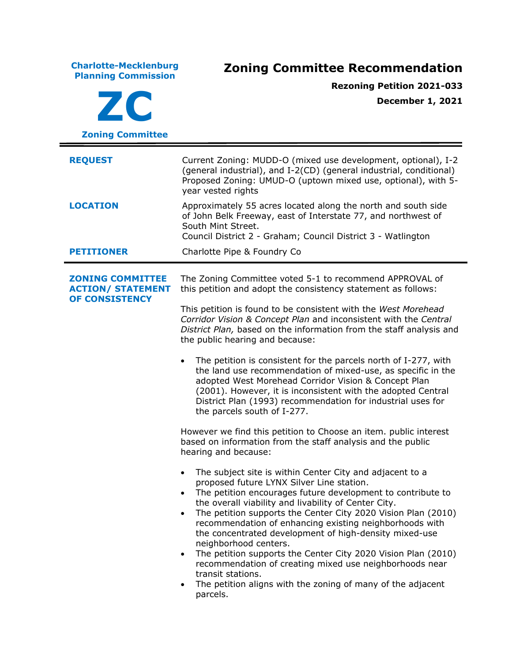**Charlotte-Mecklenburg Planning Commission Zoning Committee Recommendation ZC Zoning Committee Rezoning Petition 2021-033 December 1, 2021 REQUEST** Current Zoning: MUDD-O (mixed use development, optional), I-2 (general industrial), and I-2(CD) (general industrial, conditional) Proposed Zoning: UMUD-O (uptown mixed use, optional), with 5 year vested rights **LOCATION** Approximately 55 acres located along the north and south side of John Belk Freeway, east of Interstate 77, and northwest of South Mint Street. Council District 2 - Graham; Council District 3 - Watlington **PETITIONER** Charlotte Pipe & Foundry Co **ZONING COMMITTEE ACTION/ STATEMENT OF CONSISTENCY** The Zoning Committee voted 5-1 to recommend APPROVAL of this petition and adopt the consistency statement as follows: This petition is found to be consistent with the *West Morehead Corridor Vision & Concept Plan* and inconsistent with the *Central District Plan,* based on the information from the staff analysis and the public hearing and because: • The petition is consistent for the parcels north of I-277, with the land use recommendation of mixed-use, as specific in the adopted West Morehead Corridor Vision & Concept Plan (2001). However, it is inconsistent with the adopted Central District Plan (1993) recommendation for industrial uses for the parcels south of I-277. However we find this petition to Choose an item. public interest based on information from the staff analysis and the public hearing and because: • The subject site is within Center City and adjacent to a proposed future LYNX Silver Line station. • The petition encourages future development to contribute to the overall viability and livability of Center City. • The petition supports the Center City 2020 Vision Plan (2010) recommendation of enhancing existing neighborhoods with the concentrated development of high-density mixed-use neighborhood centers. • The petition supports the Center City 2020 Vision Plan (2010) recommendation of creating mixed use neighborhoods near transit stations. • The petition aligns with the zoning of many of the adjacent parcels.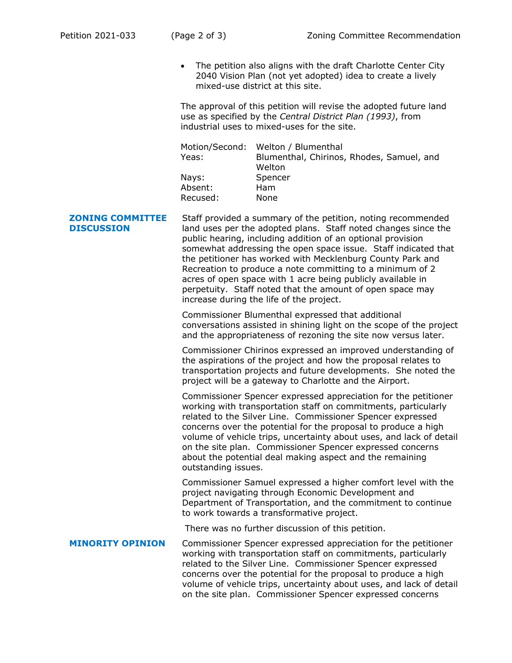• The petition also aligns with the draft Charlotte Center City 2040 Vision Plan (not yet adopted) idea to create a lively mixed-use district at this site.

The approval of this petition will revise the adopted future land use as specified by the *Central District Plan (1993)*, from industrial uses to mixed-uses for the site.

|          | Motion/Second: Welton / Blumenthal        |
|----------|-------------------------------------------|
| Yeas:    | Blumenthal, Chirinos, Rhodes, Samuel, and |
|          | Welton                                    |
| Nays:    | Spencer                                   |
| Absent:  | Ham                                       |
| Recused: | None                                      |

**ZONING COMMITTEE DISCUSSION** Staff provided a summary of the petition, noting recommended land uses per the adopted plans. Staff noted changes since the public hearing, including addition of an optional provision somewhat addressing the open space issue. Staff indicated that the petitioner has worked with Mecklenburg County Park and Recreation to produce a note committing to a minimum of 2 acres of open space with 1 acre being publicly available in perpetuity. Staff noted that the amount of open space may increase during the life of the project.

> Commissioner Blumenthal expressed that additional conversations assisted in shining light on the scope of the project and the appropriateness of rezoning the site now versus later.

Commissioner Chirinos expressed an improved understanding of the aspirations of the project and how the proposal relates to transportation projects and future developments. She noted the project will be a gateway to Charlotte and the Airport.

Commissioner Spencer expressed appreciation for the petitioner working with transportation staff on commitments, particularly related to the Silver Line. Commissioner Spencer expressed concerns over the potential for the proposal to produce a high volume of vehicle trips, uncertainty about uses, and lack of detail on the site plan. Commissioner Spencer expressed concerns about the potential deal making aspect and the remaining outstanding issues.

Commissioner Samuel expressed a higher comfort level with the project navigating through Economic Development and Department of Transportation, and the commitment to continue to work towards a transformative project.

There was no further discussion of this petition.

**MINORITY OPINION** Commissioner Spencer expressed appreciation for the petitioner working with transportation staff on commitments, particularly related to the Silver Line. Commissioner Spencer expressed concerns over the potential for the proposal to produce a high volume of vehicle trips, uncertainty about uses, and lack of detail on the site plan. Commissioner Spencer expressed concerns